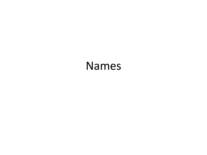#### Names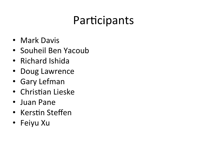### Participants

- Mark Davis
- Souheil Ben Yacoub
- Richard Ishida
- Doug Lawrence
- Gary Lefman
- Christian Lieske
- Juan Pane
- Kerstin Steffen
- Feiyu Xu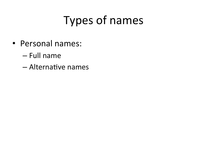# **Types of names**

- Personal names:
	- Full name
	- Alternative names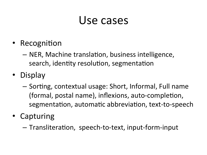#### Use cases

- Recognition
	- NER, Machine translation, business intelligence, search, identity resolution, segmentation
- Display
	- $-$  Sorting, contextual usage: Short, Informal, Full name (formal, postal name), inflexions, auto-completion, segmentation, automatic abbreviation, text-to-speech
- Capturing
	- $-$  Transliteration, speech-to-text, input-form-input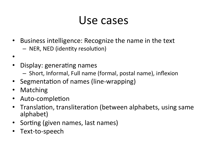### Use cases

- Business intelligence: Recognize the name in the text – NER, NED (identity resolution)
- •
- Display: generating names
	- $-$  Short, Informal, Full name (formal, postal name), inflexion
- Segmentation of names (line-wrapping)
- **Matching**
- Auto-completion
- Translation, transliteration (between alphabets, using same alphabet)
- Sorting (given names, last names)
- Text-to-speech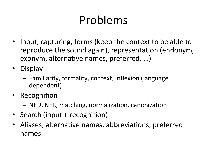# Problems

- Input, capturing, forms (keep the context to be able to reproduce the sound again), representation (endonym, exonym, alternative names, preferred, ...)
- Display
	- $-$  Familiarity, formality, context, inflexion (language dependent)
- Recognition
	- $-$  NED, NER, matching, normalization, canonization
- Search (input + recognition)
- Aliases, alternative names, abbreviations, preferred names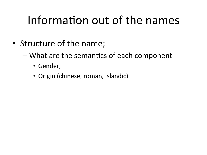# Information out of the names

- Structure of the name;
	- What are the semantics of each component
		- Gender,
		- Origin (chinese, roman, islandic)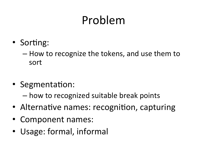# Problem

- Sorting:
	- $-$  How to recognize the tokens, and use them to sort
- Segmentation:
	- $-$  how to recognized suitable break points
- Alternative names: recognition, capturing
- Component names:
- Usage: formal, informal